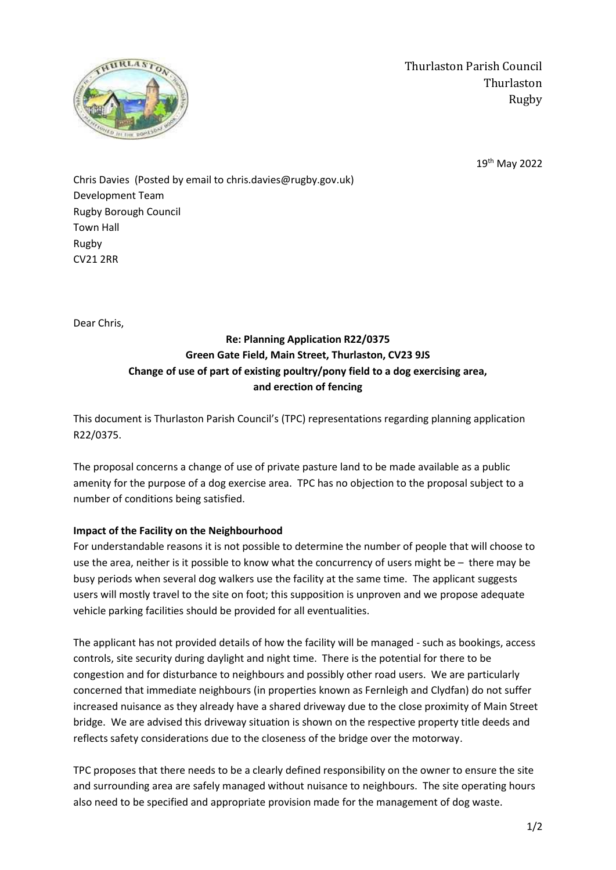

Thurlaston Parish Council Thurlaston Rugby

19th May 2022

Chris Davies (Posted by email to chris.davies@rugby.gov.uk) Development Team Rugby Borough Council Town Hall Rugby CV21 2RR

Dear Chris,

## **Re: Planning Application R22/0375 Green Gate Field, Main Street, Thurlaston, CV23 9JS Change of use of part of existing poultry/pony field to a dog exercising area, and erection of fencing**

This document is Thurlaston Parish Council's (TPC) representations regarding planning application R22/0375.

The proposal concerns a change of use of private pasture land to be made available as a public amenity for the purpose of a dog exercise area. TPC has no objection to the proposal subject to a number of conditions being satisfied.

## **Impact of the Facility on the Neighbourhood**

For understandable reasons it is not possible to determine the number of people that will choose to use the area, neither is it possible to know what the concurrency of users might be – there may be busy periods when several dog walkers use the facility at the same time. The applicant suggests users will mostly travel to the site on foot; this supposition is unproven and we propose adequate vehicle parking facilities should be provided for all eventualities.

The applicant has not provided details of how the facility will be managed - such as bookings, access controls, site security during daylight and night time. There is the potential for there to be congestion and for disturbance to neighbours and possibly other road users. We are particularly concerned that immediate neighbours (in properties known as Fernleigh and Clydfan) do not suffer increased nuisance as they already have a shared driveway due to the close proximity of Main Street bridge. We are advised this driveway situation is shown on the respective property title deeds and reflects safety considerations due to the closeness of the bridge over the motorway.

TPC proposes that there needs to be a clearly defined responsibility on the owner to ensure the site and surrounding area are safely managed without nuisance to neighbours. The site operating hours also need to be specified and appropriate provision made for the management of dog waste.